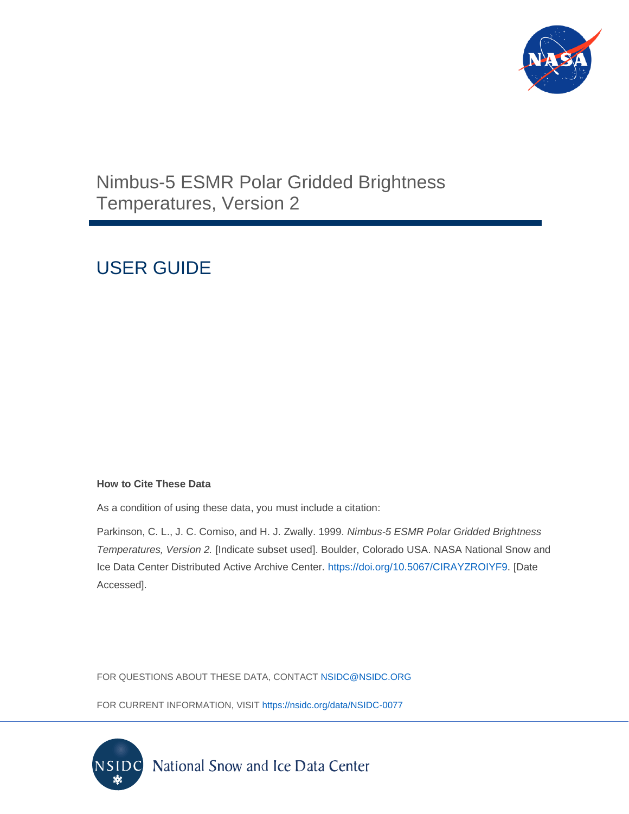

## Nimbus-5 ESMR Polar Gridded Brightness Temperatures, Version 2

# USER GUIDE

#### **How to Cite These Data**

As a condition of using these data, you must include a citation:

Parkinson, C. L., J. C. Comiso, and H. J. Zwally. 1999. *Nimbus-5 ESMR Polar Gridded Brightness Temperatures, Version 2.* [Indicate subset used]. Boulder, Colorado USA. NASA National Snow and Ice Data Center Distributed Active Archive Center. [https://doi.org/10.5067/CIRAYZROIYF9.](https://doi.org/10.5067/CIRAYZROIYF9) [Date Accessed].

FOR QUESTIONS ABOUT THESE DATA, CONTACT [NSIDC@NSIDC.ORG](mailto:nsidc@nsidc.org)

FOR CURRENT INFORMATION, VISIT<https://nsidc.org/data/NSIDC-0077>

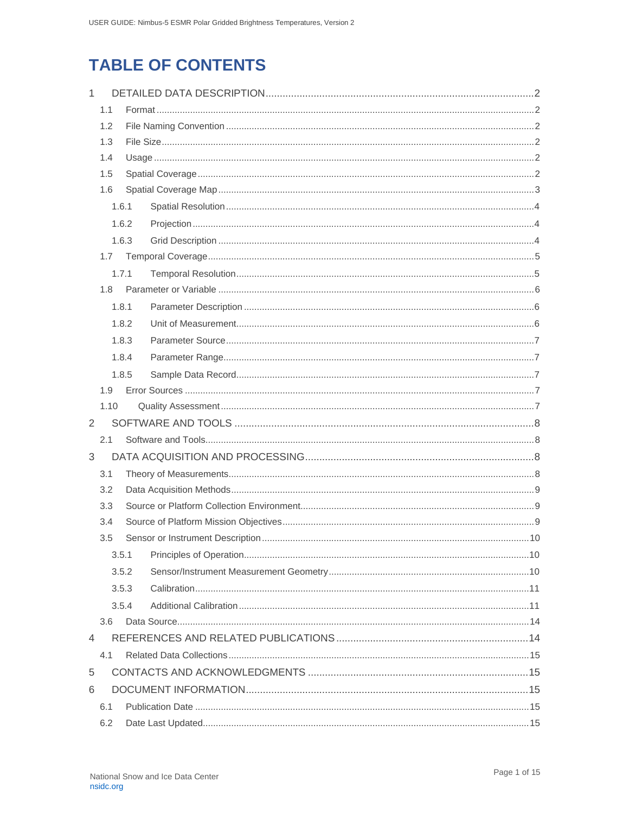## **TABLE OF CONTENTS**

| $\mathbf{1}$ |       |       |  |  |  |  |
|--------------|-------|-------|--|--|--|--|
|              | 1.1   |       |  |  |  |  |
|              | 1.2   |       |  |  |  |  |
|              | 1.3   |       |  |  |  |  |
|              | 1.4   |       |  |  |  |  |
|              | 1.5   |       |  |  |  |  |
|              | 1.6   |       |  |  |  |  |
|              | 1.6.1 |       |  |  |  |  |
|              |       | 1.6.2 |  |  |  |  |
|              |       | 1.6.3 |  |  |  |  |
|              | 1.7   |       |  |  |  |  |
|              |       | 1.7.1 |  |  |  |  |
|              | 1.8   |       |  |  |  |  |
|              |       | 1.8.1 |  |  |  |  |
|              |       | 1.8.2 |  |  |  |  |
|              |       | 1.8.3 |  |  |  |  |
|              |       | 1.8.4 |  |  |  |  |
|              |       | 1.8.5 |  |  |  |  |
|              | 1.9   |       |  |  |  |  |
|              | 1.10  |       |  |  |  |  |
| 2            |       |       |  |  |  |  |
|              | 2.1   |       |  |  |  |  |
| 3            |       |       |  |  |  |  |
|              | 3.1   |       |  |  |  |  |
|              | 3.2   |       |  |  |  |  |
|              | 3.3   |       |  |  |  |  |
|              | 3.4   |       |  |  |  |  |
|              | 3.5   |       |  |  |  |  |
|              |       | 3.5.1 |  |  |  |  |
|              |       | 3.5.2 |  |  |  |  |
|              |       | 3.5.3 |  |  |  |  |
|              |       | 3.5.4 |  |  |  |  |
|              | 3.6   |       |  |  |  |  |
| 4            |       |       |  |  |  |  |
|              | 4.1   |       |  |  |  |  |
| 5            |       |       |  |  |  |  |
| 6            |       |       |  |  |  |  |
|              | 6.1   |       |  |  |  |  |
|              | 6.2   |       |  |  |  |  |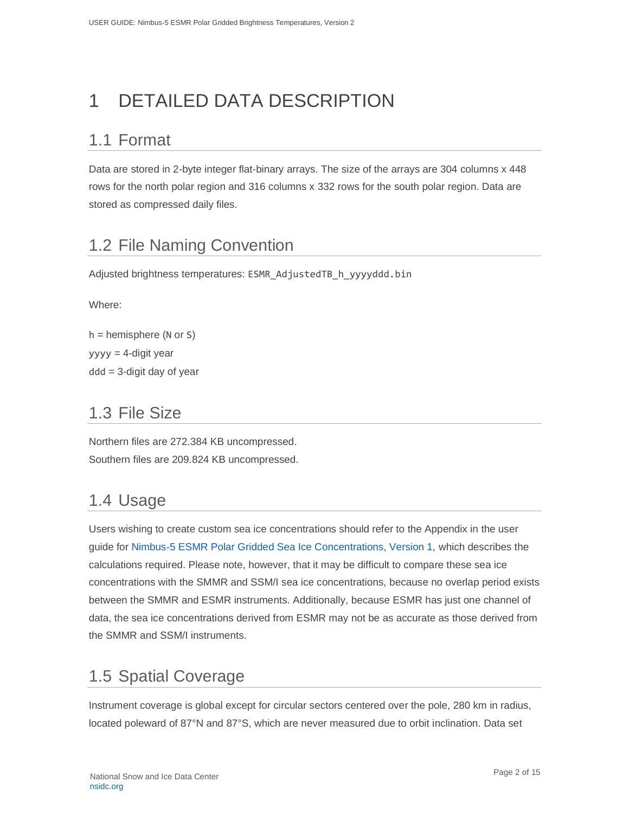# <span id="page-2-0"></span>1 DETAILED DATA DESCRIPTION

### <span id="page-2-1"></span>1.1 Format

Data are stored in 2-byte integer flat-binary arrays. The size of the arrays are 304 columns x 448 rows for the north polar region and 316 columns x 332 rows for the south polar region. Data are stored as compressed daily files.

## <span id="page-2-2"></span>1.2 File Naming Convention

Adjusted brightness temperatures: ESMR\_AdjustedTB\_h\_yyyyddd.bin

Where:

```
h = hemisphere (N or S)
yyyy = 4-digit year
ddd = 3-digit day of year
```
### <span id="page-2-3"></span>1.3 File Size

Northern files are 272.384 KB uncompressed. Southern files are 209.824 KB uncompressed.

### <span id="page-2-4"></span>1.4 Usage

Users wishing to create custom sea ice concentrations should refer to the Appendix in the user guide for [Nimbus-5 ESMR Polar Gridded Sea Ice Concentrations, Version 1,](https://nsidc.org/data/nsidc-0009/versions/1) which describes the calculations required. Please note, however, that it may be difficult to compare these sea ice concentrations with the SMMR and SSM/I sea ice concentrations, because no overlap period exists between the SMMR and ESMR instruments. Additionally, because ESMR has just one channel of data, the sea ice concentrations derived from ESMR may not be as accurate as those derived from the SMMR and SSM/I instruments.

## <span id="page-2-5"></span>1.5 Spatial Coverage

Instrument coverage is global except for circular sectors centered over the pole, 280 km in radius, located poleward of 87°N and 87°S, which are never measured due to orbit inclination. Data set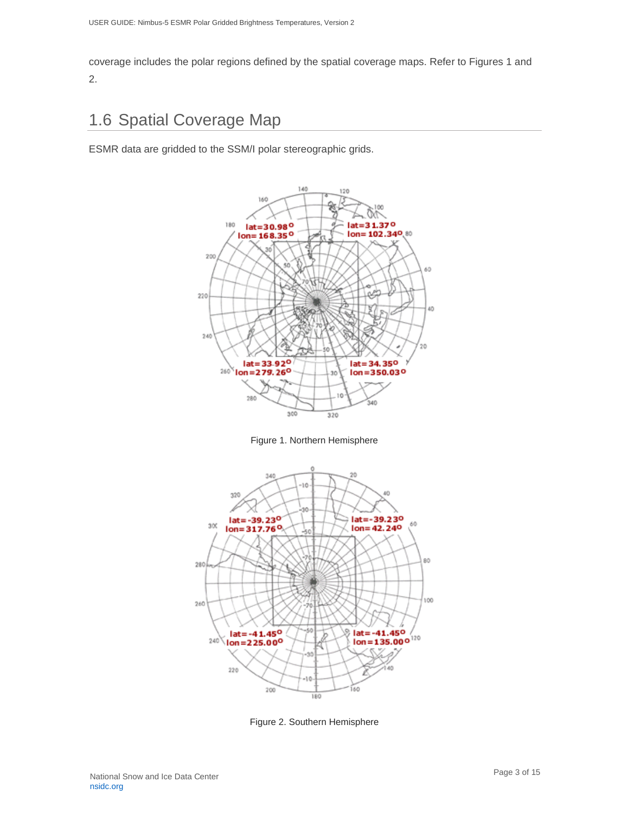coverage includes the polar regions defined by the spatial coverage maps. Refer to Figures 1 and 2.

## <span id="page-3-0"></span>1.6 Spatial Coverage Map

ESMR data are gridded to the SSM/I polar stereographic grids.







Figure 2. Southern Hemisphere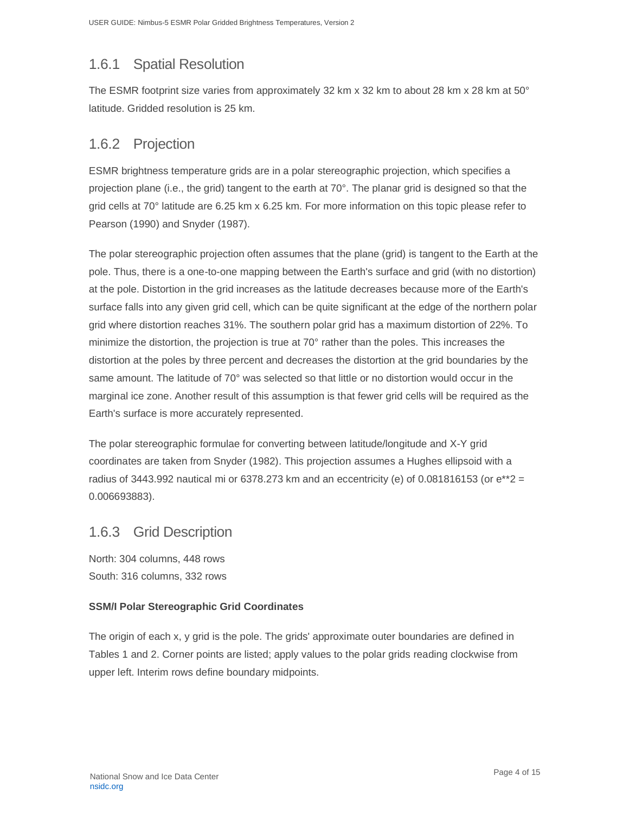### <span id="page-4-0"></span>1.6.1 Spatial Resolution

The ESMR footprint size varies from approximately 32 km x 32 km to about 28 km x 28 km at 50° latitude. Gridded resolution is 25 km.

#### <span id="page-4-1"></span>1.6.2 Projection

ESMR brightness temperature grids are in a polar stereographic projection, which specifies a projection plane (i.e., the grid) tangent to the earth at 70°. The planar grid is designed so that the grid cells at 70° latitude are 6.25 km x 6.25 km. For more information on this topic please refer to Pearson (1990) and Snyder (1987).

The polar stereographic projection often assumes that the plane (grid) is tangent to the Earth at the pole. Thus, there is a one-to-one mapping between the Earth's surface and grid (with no distortion) at the pole. Distortion in the grid increases as the latitude decreases because more of the Earth's surface falls into any given grid cell, which can be quite significant at the edge of the northern polar grid where distortion reaches 31%. The southern polar grid has a maximum distortion of 22%. To minimize the distortion, the projection is true at 70° rather than the poles. This increases the distortion at the poles by three percent and decreases the distortion at the grid boundaries by the same amount. The latitude of 70° was selected so that little or no distortion would occur in the marginal ice zone. Another result of this assumption is that fewer grid cells will be required as the Earth's surface is more accurately represented.

The polar stereographic formulae for converting between latitude/longitude and X-Y grid coordinates are taken from Snyder (1982). This projection assumes a Hughes ellipsoid with a radius of 3443.992 nautical mi or 6378.273 km and an eccentricity (e) of 0.081816153 (or  $e^{**}2 =$ 0.006693883).

#### <span id="page-4-2"></span>1.6.3 Grid Description

North: 304 columns, 448 rows South: 316 columns, 332 rows

#### **SSM/I Polar Stereographic Grid Coordinates**

The origin of each x, y grid is the pole. The grids' approximate outer boundaries are defined in Tables 1 and 2. Corner points are listed; apply values to the polar grids reading clockwise from upper left. Interim rows define boundary midpoints.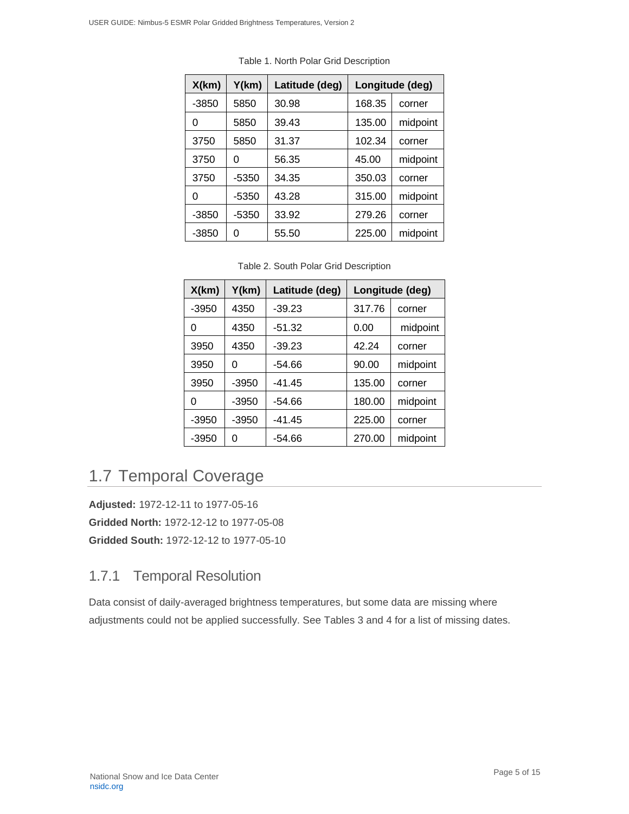| X(km)   | Y(km) | Latitude (deg) | Longitude (deg) |                    |  |
|---------|-------|----------------|-----------------|--------------------|--|
| $-3850$ | 5850  | 30.98          | 168.35          | corner             |  |
| 0       | 5850  | 39.43          | 135.00          | midpoint<br>corner |  |
| 3750    | 5850  | 31.37          | 102.34          |                    |  |
| 3750    | 0     | 56.35          | 45.00           | midpoint           |  |
| 3750    | -5350 | 34.35          | 350.03          | corner<br>midpoint |  |
| 0       | -5350 | 43.28          | 315.00          |                    |  |
| $-3850$ | -5350 | 33.92          | 279.26          | corner             |  |
| -3850   | 0     | 55.50          | 225.00          | midpoint           |  |

Table 1. North Polar Grid Description

Table 2. South Polar Grid Description

| X(km)   | Y(km)   | Latitude (deg) | Longitude (deg) |          |  |
|---------|---------|----------------|-----------------|----------|--|
| $-3950$ | 4350    | $-39.23$       | 317.76          | corner   |  |
| 0       | 4350    | $-51.32$       | 0.00            | midpoint |  |
| 3950    | 4350    | $-39.23$       | 42.24           | corner   |  |
| 3950    | ი       | -54.66         | 90.00           | midpoint |  |
| 3950    | $-3950$ | $-41.45$       | 135.00          | corner   |  |
| 0       | $-3950$ | -54.66         | 180.00          | midpoint |  |
| $-3950$ | $-3950$ | $-41.45$       | 225.00          | corner   |  |
| $-3950$ | 0       | -54.66         | 270.00          | midpoint |  |

## <span id="page-5-0"></span>1.7 Temporal Coverage

**Adjusted:** 1972-12-11 to 1977-05-16 **Gridded North:** 1972-12-12 to 1977-05-08 **Gridded South:** 1972-12-12 to 1977-05-10

#### <span id="page-5-1"></span>1.7.1 Temporal Resolution

Data consist of daily-averaged brightness temperatures, but some data are missing where adjustments could not be applied successfully. See Tables 3 and 4 for a list of missing dates.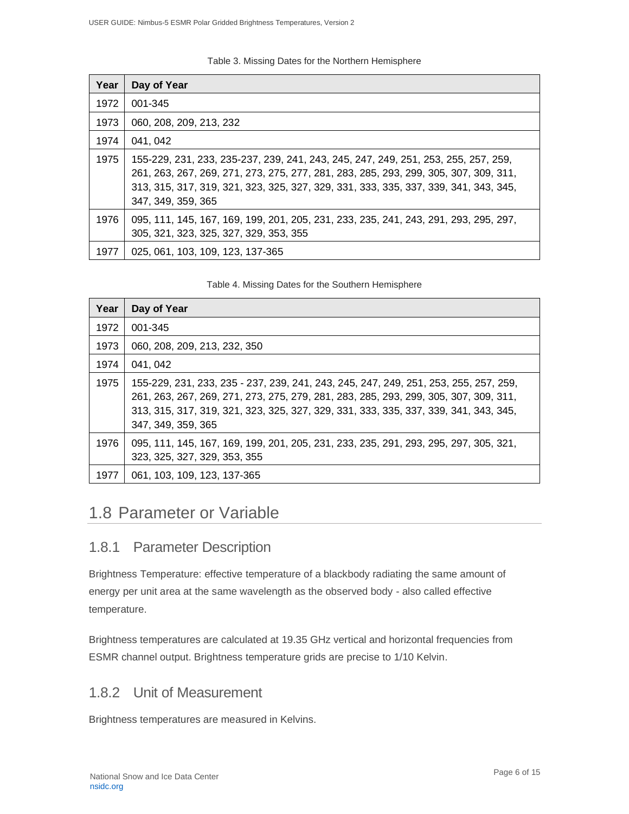Table 3. Missing Dates for the Northern Hemisphere

| Year | Day of Year                                                                                                                                                                                                                                                                              |
|------|------------------------------------------------------------------------------------------------------------------------------------------------------------------------------------------------------------------------------------------------------------------------------------------|
| 1972 | 001-345                                                                                                                                                                                                                                                                                  |
| 1973 | 060, 208, 209, 213, 232                                                                                                                                                                                                                                                                  |
| 1974 | 041, 042                                                                                                                                                                                                                                                                                 |
| 1975 | 155-229, 231, 233, 235-237, 239, 241, 243, 245, 247, 249, 251, 253, 255, 257, 259,<br>261, 263, 267, 269, 271, 273, 275, 277, 281, 283, 285, 293, 299, 305, 307, 309, 311,<br>313, 315, 317, 319, 321, 323, 325, 327, 329, 331, 333, 335, 337, 339, 341, 343, 345,<br>347, 349, 359, 365 |
| 1976 | 095, 111, 145, 167, 169, 199, 201, 205, 231, 233, 235, 241, 243, 291, 293, 295, 297,<br>305, 321, 323, 325, 327, 329, 353, 355                                                                                                                                                           |
| 1977 | 025, 061, 103, 109, 123, 137-365                                                                                                                                                                                                                                                         |

#### Table 4. Missing Dates for the Southern Hemisphere

| Year | Day of Year                                                                                                                                                                                                                                                                                |
|------|--------------------------------------------------------------------------------------------------------------------------------------------------------------------------------------------------------------------------------------------------------------------------------------------|
| 1972 | 001-345                                                                                                                                                                                                                                                                                    |
| 1973 | 060, 208, 209, 213, 232, 350                                                                                                                                                                                                                                                               |
| 1974 | 041, 042                                                                                                                                                                                                                                                                                   |
| 1975 | 155-229, 231, 233, 235 - 237, 239, 241, 243, 245, 247, 249, 251, 253, 255, 257, 259,<br>261, 263, 267, 269, 271, 273, 275, 279, 281, 283, 285, 293, 299, 305, 307, 309, 311,<br>313, 315, 317, 319, 321, 323, 325, 327, 329, 331, 333, 335, 337, 339, 341, 343, 345,<br>347, 349, 359, 365 |
| 1976 | 095, 111, 145, 167, 169, 199, 201, 205, 231, 233, 235, 291, 293, 295, 297, 305, 321,<br>323, 325, 327, 329, 353, 355                                                                                                                                                                       |
| 1977 | 061, 103, 109, 123, 137-365                                                                                                                                                                                                                                                                |

#### <span id="page-6-0"></span>1.8 Parameter or Variable

#### <span id="page-6-1"></span>1.8.1 Parameter Description

Brightness Temperature: effective temperature of a blackbody radiating the same amount of energy per unit area at the same wavelength as the observed body - also called effective temperature.

Brightness temperatures are calculated at 19.35 GHz vertical and horizontal frequencies from ESMR channel output. Brightness temperature grids are precise to 1/10 Kelvin.

#### <span id="page-6-2"></span>1.8.2 Unit of Measurement

Brightness temperatures are measured in Kelvins.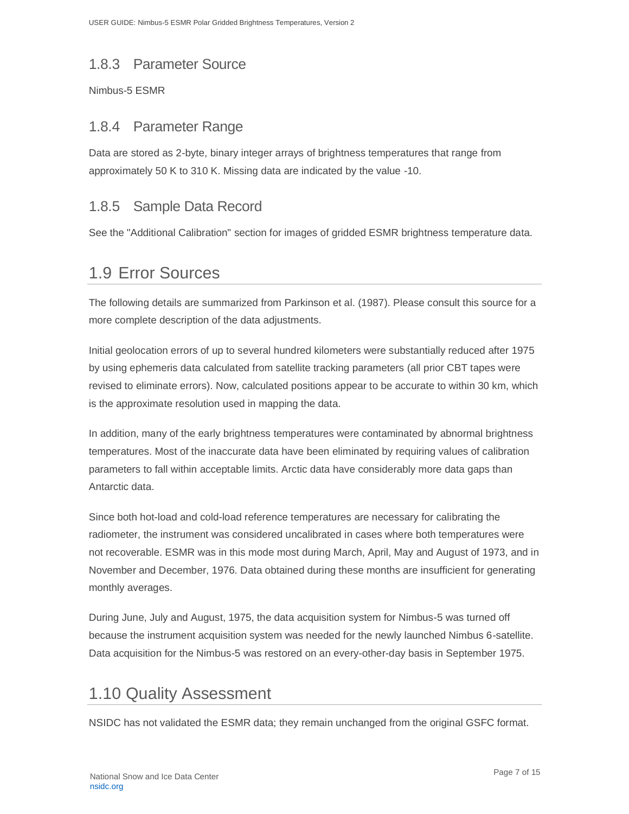#### <span id="page-7-0"></span>1.8.3 Parameter Source

Nimbus-5 ESMR

#### <span id="page-7-1"></span>1.8.4 Parameter Range

Data are stored as 2-byte, binary integer arrays of brightness temperatures that range from approximately 50 K to 310 K. Missing data are indicated by the value -10.

#### <span id="page-7-2"></span>1.8.5 Sample Data Record

See the "Additional Calibration" section for images of gridded ESMR brightness temperature data.

#### <span id="page-7-3"></span>1.9 Error Sources

The following details are summarized from Parkinson et al. (1987). Please consult this source for a more complete description of the data adjustments.

Initial geolocation errors of up to several hundred kilometers were substantially reduced after 1975 by using ephemeris data calculated from satellite tracking parameters (all prior CBT tapes were revised to eliminate errors). Now, calculated positions appear to be accurate to within 30 km, which is the approximate resolution used in mapping the data.

In addition, many of the early brightness temperatures were contaminated by abnormal brightness temperatures. Most of the inaccurate data have been eliminated by requiring values of calibration parameters to fall within acceptable limits. Arctic data have considerably more data gaps than Antarctic data.

Since both hot-load and cold-load reference temperatures are necessary for calibrating the radiometer, the instrument was considered uncalibrated in cases where both temperatures were not recoverable. ESMR was in this mode most during March, April, May and August of 1973, and in November and December, 1976. Data obtained during these months are insufficient for generating monthly averages.

During June, July and August, 1975, the data acquisition system for Nimbus-5 was turned off because the instrument acquisition system was needed for the newly launched Nimbus 6-satellite. Data acquisition for the Nimbus-5 was restored on an every-other-day basis in September 1975.

### <span id="page-7-4"></span>1.10 Quality Assessment

NSIDC has not validated the ESMR data; they remain unchanged from the original GSFC format.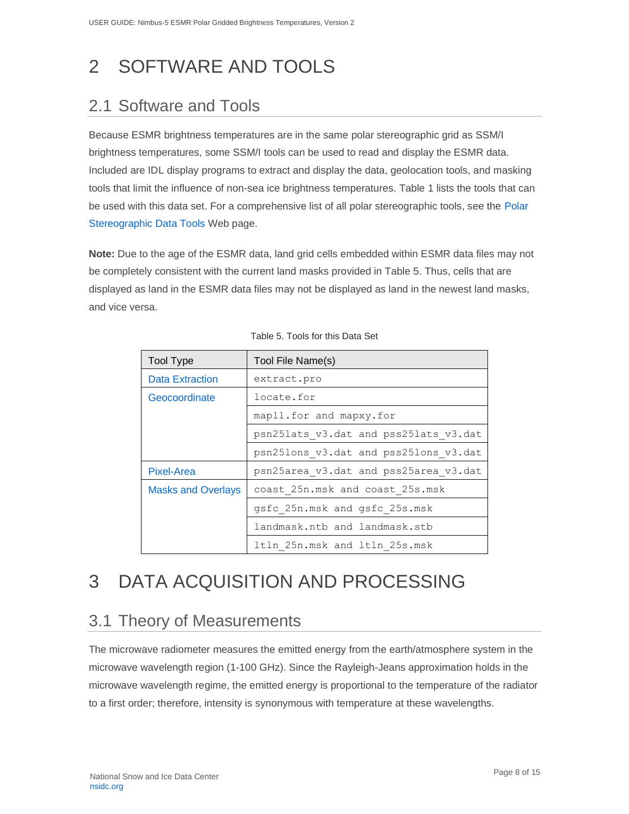# <span id="page-8-0"></span>2 SOFTWARE AND TOOLS

### <span id="page-8-1"></span>2.1 Software and Tools

Because ESMR brightness temperatures are in the same polar stereographic grid as SSM/I brightness temperatures, some SSM/I tools can be used to read and display the ESMR data. Included are IDL display programs to extract and display the data, geolocation tools, and masking tools that limit the influence of non-sea ice brightness temperatures. Table 1 lists the tools that can be used with this data set. For a comprehensive list of all polar stereographic tools, see the [Polar](http://nsidc.org/data/polar_stereo/tools.html)  [Stereographic Data Tools](http://nsidc.org/data/polar_stereo/tools.html) Web page.

**Note:** Due to the age of the ESMR data, land grid cells embedded within ESMR data files may not be completely consistent with the current land masks provided in Table 5. Thus, cells that are displayed as land in the ESMR data files may not be displayed as land in the newest land masks, and vice versa.

| <b>Tool Type</b>          | Tool File Name(s)                     |  |  |  |
|---------------------------|---------------------------------------|--|--|--|
| <b>Data Extraction</b>    | extract.pro                           |  |  |  |
| Geocoordinate             | locate.for                            |  |  |  |
|                           | mapll.for and mapxy.for               |  |  |  |
|                           | psn25lats v3.dat and pss25lats v3.dat |  |  |  |
|                           | psn25lons v3.dat and pss25lons v3.dat |  |  |  |
| <b>Pixel-Area</b>         | psn25area v3.dat and pss25area v3.dat |  |  |  |
| <b>Masks and Overlays</b> | coast 25n.msk and coast 25s.msk       |  |  |  |
|                           | gsfc 25n.msk and gsfc 25s.msk         |  |  |  |
|                           | landmask.ntb and landmask.stb         |  |  |  |
|                           | 1tln 25n.msk and 1tln 25s.msk         |  |  |  |

| Table 5. Tools for this Data Set |  |  |  |
|----------------------------------|--|--|--|
|                                  |  |  |  |

# <span id="page-8-2"></span>3 DATA ACQUISITION AND PROCESSING

### <span id="page-8-3"></span>3.1 Theory of Measurements

The microwave radiometer measures the emitted energy from the earth/atmosphere system in the microwave wavelength region (1-100 GHz). Since the Rayleigh-Jeans approximation holds in the microwave wavelength regime, the emitted energy is proportional to the temperature of the radiator to a first order; therefore, intensity is synonymous with temperature at these wavelengths.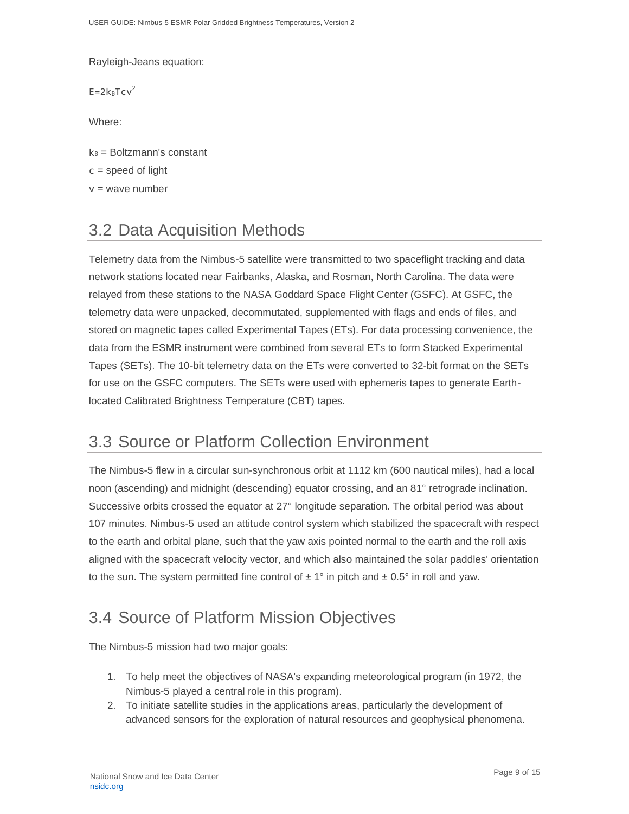Rayleigh-Jeans equation:

 $E=2k_BTcv^2$ 

Where:

 $k_B$  = Boltzmann's constant

 $c = speed of light$ 

 $v =$  wave number

## <span id="page-9-0"></span>3.2 Data Acquisition Methods

Telemetry data from the Nimbus-5 satellite were transmitted to two spaceflight tracking and data network stations located near Fairbanks, Alaska, and Rosman, North Carolina. The data were relayed from these stations to the NASA Goddard Space Flight Center (GSFC). At GSFC, the telemetry data were unpacked, decommutated, supplemented with flags and ends of files, and stored on magnetic tapes called Experimental Tapes (ETs). For data processing convenience, the data from the ESMR instrument were combined from several ETs to form Stacked Experimental Tapes (SETs). The 10-bit telemetry data on the ETs were converted to 32-bit format on the SETs for use on the GSFC computers. The SETs were used with ephemeris tapes to generate Earthlocated Calibrated Brightness Temperature (CBT) tapes.

### <span id="page-9-1"></span>3.3 Source or Platform Collection Environment

The Nimbus-5 flew in a circular sun-synchronous orbit at 1112 km (600 nautical miles), had a local noon (ascending) and midnight (descending) equator crossing, and an 81° retrograde inclination. Successive orbits crossed the equator at 27° longitude separation. The orbital period was about 107 minutes. Nimbus-5 used an attitude control system which stabilized the spacecraft with respect to the earth and orbital plane, such that the yaw axis pointed normal to the earth and the roll axis aligned with the spacecraft velocity vector, and which also maintained the solar paddles' orientation to the sun. The system permitted fine control of  $\pm 1^{\circ}$  in pitch and  $\pm 0.5^{\circ}$  in roll and yaw.

### <span id="page-9-2"></span>3.4 Source of Platform Mission Objectives

The Nimbus-5 mission had two major goals:

- 1. To help meet the objectives of NASA's expanding meteorological program (in 1972, the Nimbus-5 played a central role in this program).
- 2. To initiate satellite studies in the applications areas, particularly the development of advanced sensors for the exploration of natural resources and geophysical phenomena.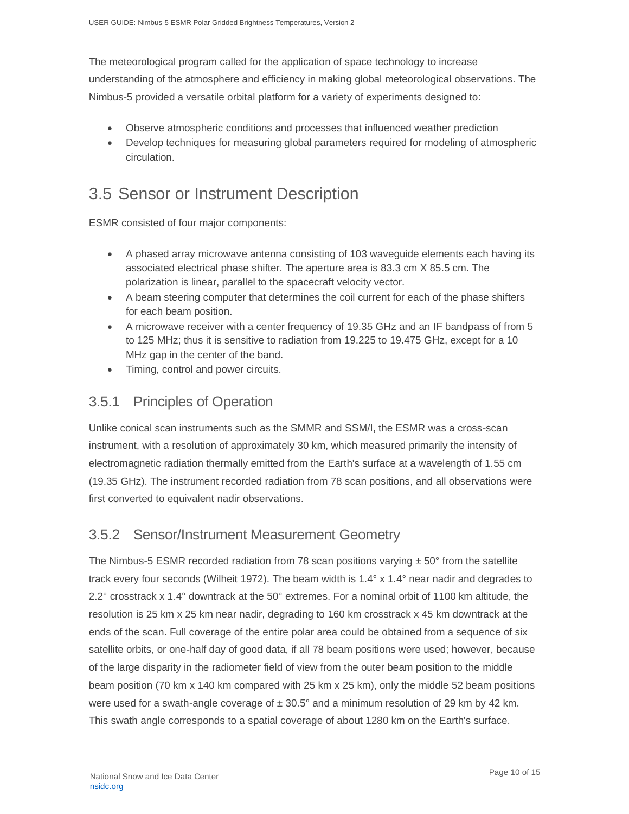The meteorological program called for the application of space technology to increase understanding of the atmosphere and efficiency in making global meteorological observations. The Nimbus-5 provided a versatile orbital platform for a variety of experiments designed to:

- Observe atmospheric conditions and processes that influenced weather prediction
- Develop techniques for measuring global parameters required for modeling of atmospheric circulation.

#### <span id="page-10-0"></span>3.5 Sensor or Instrument Description

ESMR consisted of four major components:

- A phased array microwave antenna consisting of 103 waveguide elements each having its associated electrical phase shifter. The aperture area is 83.3 cm X 85.5 cm. The polarization is linear, parallel to the spacecraft velocity vector.
- A beam steering computer that determines the coil current for each of the phase shifters for each beam position.
- A microwave receiver with a center frequency of 19.35 GHz and an IF bandpass of from 5 to 125 MHz; thus it is sensitive to radiation from 19.225 to 19.475 GHz, except for a 10 MHz gap in the center of the band.
- Timing, control and power circuits.

#### <span id="page-10-1"></span>3.5.1 Principles of Operation

Unlike conical scan instruments such as the SMMR and SSM/I, the ESMR was a cross-scan instrument, with a resolution of approximately 30 km, which measured primarily the intensity of electromagnetic radiation thermally emitted from the Earth's surface at a wavelength of 1.55 cm (19.35 GHz). The instrument recorded radiation from 78 scan positions, and all observations were first converted to equivalent nadir observations.

#### <span id="page-10-2"></span>3.5.2 Sensor/Instrument Measurement Geometry

The Nimbus-5 ESMR recorded radiation from 78 scan positions varying  $\pm$  50 $\degree$  from the satellite track every four seconds (Wilheit 1972). The beam width is 1.4° x 1.4° near nadir and degrades to 2.2° crosstrack x 1.4° downtrack at the 50° extremes. For a nominal orbit of 1100 km altitude, the resolution is 25 km x 25 km near nadir, degrading to 160 km crosstrack x 45 km downtrack at the ends of the scan. Full coverage of the entire polar area could be obtained from a sequence of six satellite orbits, or one-half day of good data, if all 78 beam positions were used; however, because of the large disparity in the radiometer field of view from the outer beam position to the middle beam position (70 km x 140 km compared with 25 km x 25 km), only the middle 52 beam positions were used for a swath-angle coverage of  $\pm 30.5^{\circ}$  and a minimum resolution of 29 km by 42 km. This swath angle corresponds to a spatial coverage of about 1280 km on the Earth's surface.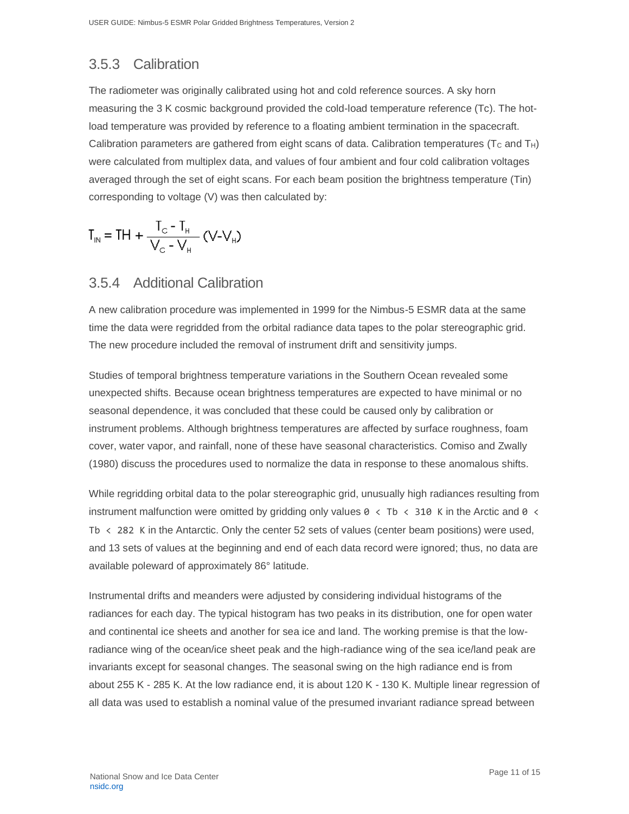#### <span id="page-11-0"></span>3.5.3 Calibration

The radiometer was originally calibrated using hot and cold reference sources. A sky horn measuring the 3 K cosmic background provided the cold-load temperature reference (Tc). The hotload temperature was provided by reference to a floating ambient termination in the spacecraft. Calibration parameters are gathered from eight scans of data. Calibration temperatures ( $T_c$  and  $T_H$ ) were calculated from multiplex data, and values of four ambient and four cold calibration voltages averaged through the set of eight scans. For each beam position the brightness temperature (Tin) corresponding to voltage (V) was then calculated by:

$$
T_{IN} = TH + \frac{T_{C} - T_{H}}{V_{C} - V_{H}}
$$
 (V-V<sub>H</sub>)

#### <span id="page-11-1"></span>3.5.4 Additional Calibration

A new calibration procedure was implemented in 1999 for the Nimbus-5 ESMR data at the same time the data were regridded from the orbital radiance data tapes to the polar stereographic grid. The new procedure included the removal of instrument drift and sensitivity jumps.

Studies of temporal brightness temperature variations in the Southern Ocean revealed some unexpected shifts. Because ocean brightness temperatures are expected to have minimal or no seasonal dependence, it was concluded that these could be caused only by calibration or instrument problems. Although brightness temperatures are affected by surface roughness, foam cover, water vapor, and rainfall, none of these have seasonal characteristics. Comiso and Zwally (1980) discuss the procedures used to normalize the data in response to these anomalous shifts.

While regridding orbital data to the polar stereographic grid, unusually high radiances resulting from instrument malfunction were omitted by gridding only values  $0 \lt$  Tb  $\lt$  310 K in the Arctic and 0  $\lt$ Tb  $\langle$  282 K in the Antarctic. Only the center 52 sets of values (center beam positions) were used, and 13 sets of values at the beginning and end of each data record were ignored; thus, no data are available poleward of approximately 86° latitude.

Instrumental drifts and meanders were adjusted by considering individual histograms of the radiances for each day. The typical histogram has two peaks in its distribution, one for open water and continental ice sheets and another for sea ice and land. The working premise is that the lowradiance wing of the ocean/ice sheet peak and the high-radiance wing of the sea ice/land peak are invariants except for seasonal changes. The seasonal swing on the high radiance end is from about 255 K - 285 K. At the low radiance end, it is about 120 K - 130 K. Multiple linear regression of all data was used to establish a nominal value of the presumed invariant radiance spread between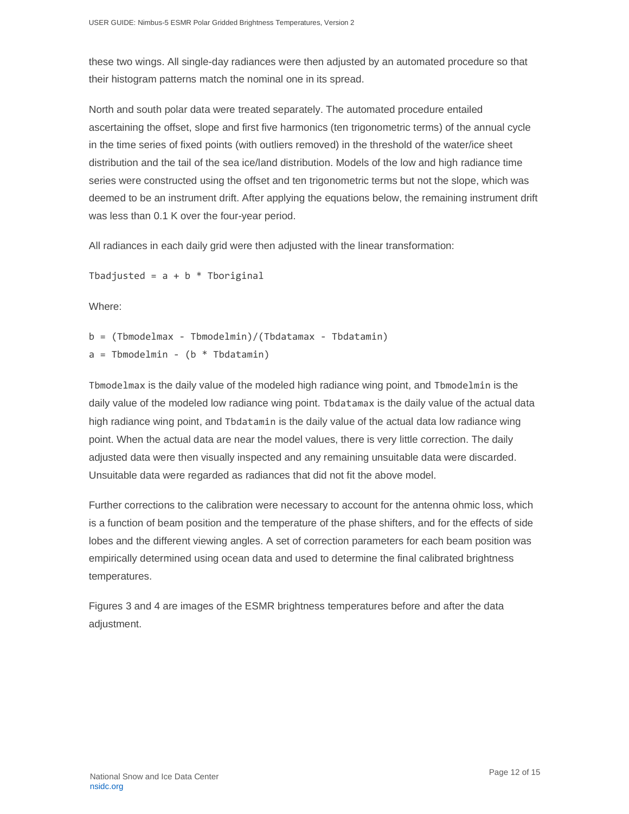these two wings. All single-day radiances were then adjusted by an automated procedure so that their histogram patterns match the nominal one in its spread.

North and south polar data were treated separately. The automated procedure entailed ascertaining the offset, slope and first five harmonics (ten trigonometric terms) of the annual cycle in the time series of fixed points (with outliers removed) in the threshold of the water/ice sheet distribution and the tail of the sea ice/land distribution. Models of the low and high radiance time series were constructed using the offset and ten trigonometric terms but not the slope, which was deemed to be an instrument drift. After applying the equations below, the remaining instrument drift was less than 0.1 K over the four-year period.

All radiances in each daily grid were then adjusted with the linear transformation:

Tbadjusted =  $a + b *$  Tboriginal

Where:

 $b = (Tb$ modelmax - Tbmodelmin $)/(Tb$ datamax - Tbdatamin $)$  $a =$ Tbmodelmin - (b \* Tbdatamin)

Tbmodelmax is the daily value of the modeled high radiance wing point, and Tbmodelmin is the daily value of the modeled low radiance wing point. Tbdatamax is the daily value of the actual data high radiance wing point, and Tbdatamin is the daily value of the actual data low radiance wing point. When the actual data are near the model values, there is very little correction. The daily adjusted data were then visually inspected and any remaining unsuitable data were discarded. Unsuitable data were regarded as radiances that did not fit the above model.

Further corrections to the calibration were necessary to account for the antenna ohmic loss, which is a function of beam position and the temperature of the phase shifters, and for the effects of side lobes and the different viewing angles. A set of correction parameters for each beam position was empirically determined using ocean data and used to determine the final calibrated brightness temperatures.

Figures 3 and 4 are images of the ESMR brightness temperatures before and after the data adjustment.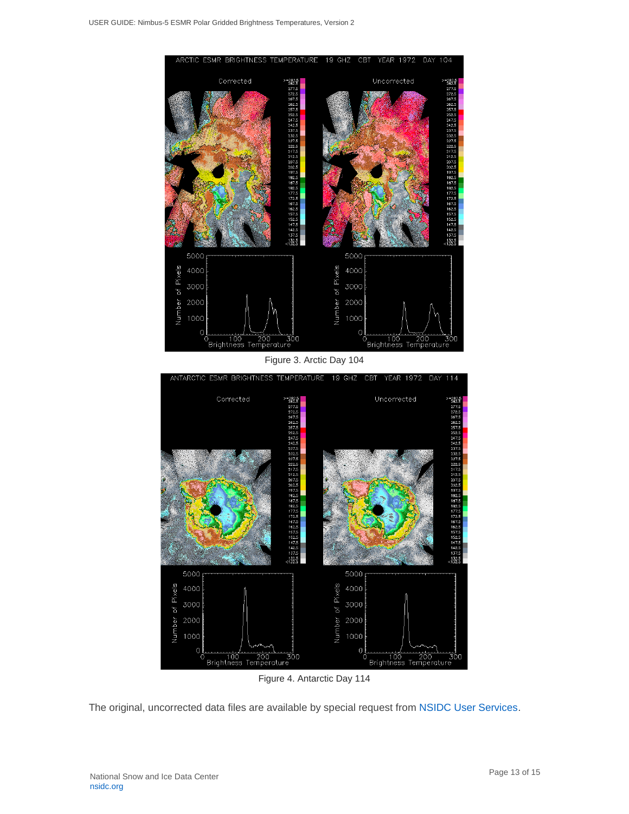

Figure 4. Antarctic Day 114

The original, uncorrected data files are available by special request from [NSIDC User Services.](http://nsidc.org/forms/contact.html)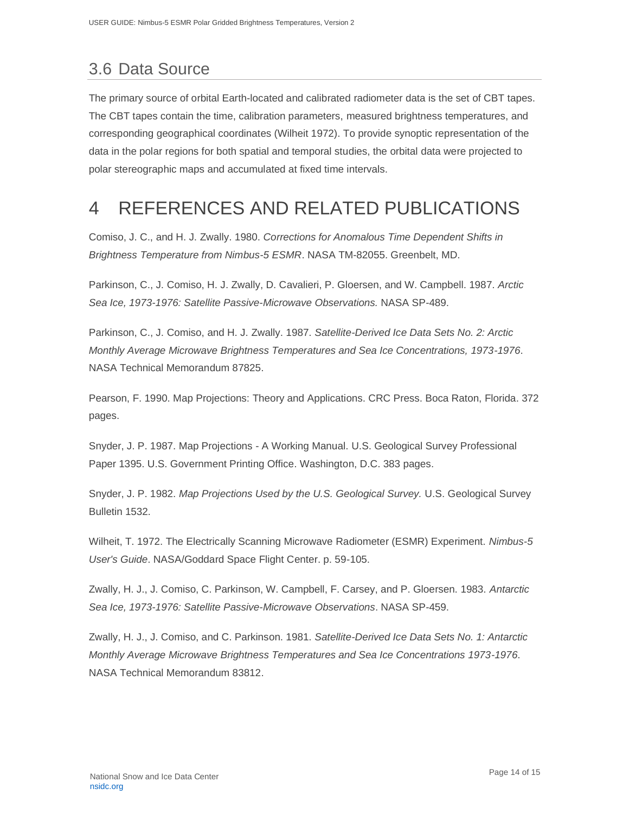## <span id="page-14-0"></span>3.6 Data Source

The primary source of orbital Earth-located and calibrated radiometer data is the set of CBT tapes. The CBT tapes contain the time, calibration parameters, measured brightness temperatures, and corresponding geographical coordinates (Wilheit 1972). To provide synoptic representation of the data in the polar regions for both spatial and temporal studies, the orbital data were projected to polar stereographic maps and accumulated at fixed time intervals.

## <span id="page-14-1"></span>4 REFERENCES AND RELATED PUBLICATIONS

Comiso, J. C., and H. J. Zwally. 1980. *Corrections for Anomalous Time Dependent Shifts in Brightness Temperature from Nimbus-5 ESMR*. NASA TM-82055. Greenbelt, MD.

Parkinson, C., J. Comiso, H. J. Zwally, D. Cavalieri, P. Gloersen, and W. Campbell. 1987. *Arctic Sea Ice, 1973-1976: Satellite Passive-Microwave Observations.* NASA SP-489.

Parkinson, C., J. Comiso, and H. J. Zwally. 1987. *Satellite-Derived Ice Data Sets No. 2: Arctic Monthly Average Microwave Brightness Temperatures and Sea Ice Concentrations, 1973-1976*. NASA Technical Memorandum 87825.

Pearson, F. 1990. Map Projections: Theory and Applications. CRC Press. Boca Raton, Florida. 372 pages.

Snyder, J. P. 1987. Map Projections - A Working Manual. U.S. Geological Survey Professional Paper 1395. U.S. Government Printing Office. Washington, D.C. 383 pages.

Snyder, J. P. 1982. *Map Projections Used by the U.S. Geological Survey.* U.S. Geological Survey Bulletin 1532.

Wilheit, T. 1972. The Electrically Scanning Microwave Radiometer (ESMR) Experiment. *Nimbus-5 User's Guide*. NASA/Goddard Space Flight Center. p. 59-105.

Zwally, H. J., J. Comiso, C. Parkinson, W. Campbell, F. Carsey, and P. Gloersen. 1983. *Antarctic Sea Ice, 1973-1976: Satellite Passive-Microwave Observations*. NASA SP-459.

Zwally, H. J., J. Comiso, and C. Parkinson. 1981. *Satellite-Derived Ice Data Sets No. 1: Antarctic Monthly Average Microwave Brightness Temperatures and Sea Ice Concentrations 1973-1976*. NASA Technical Memorandum 83812.